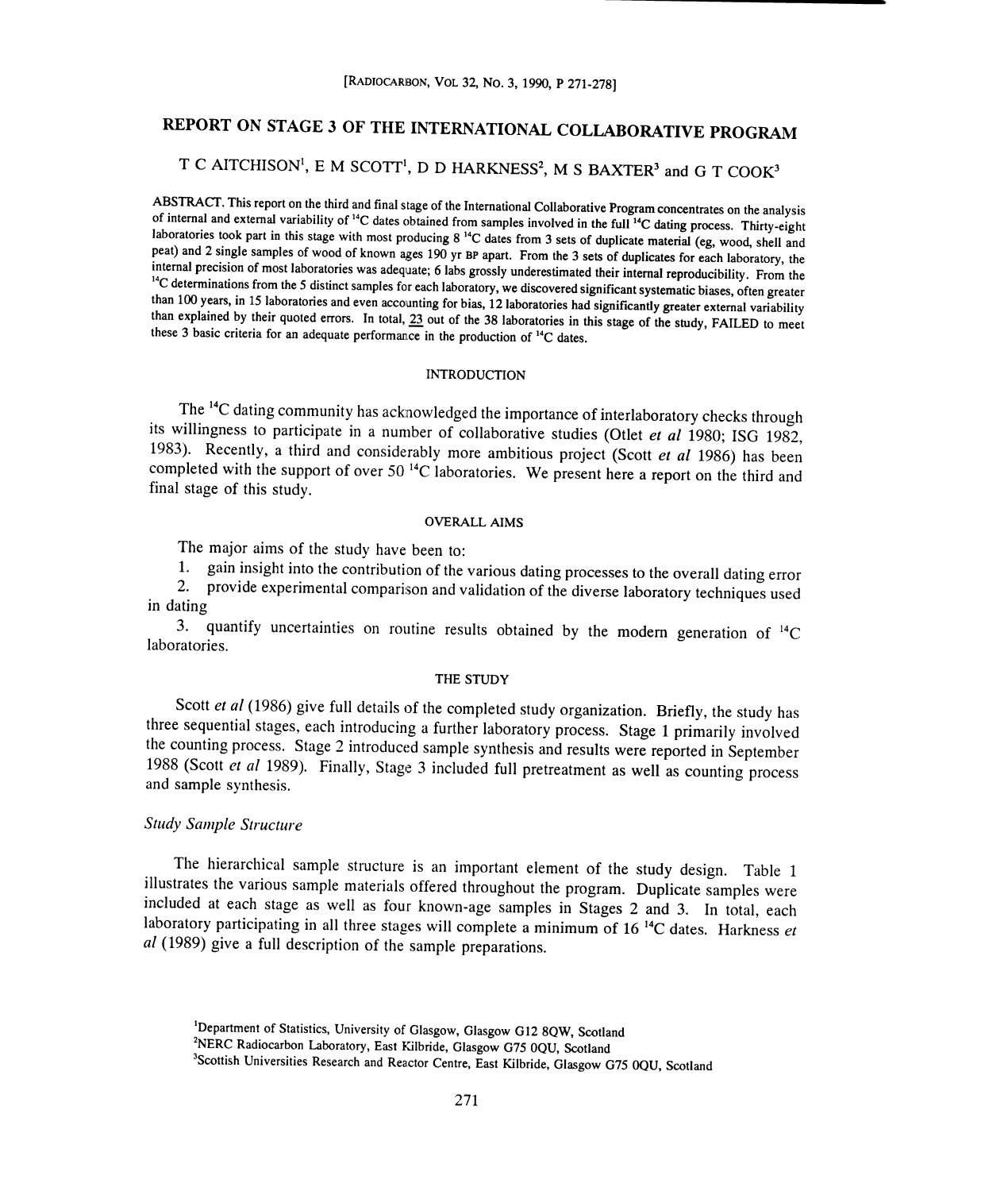# REPORT ON STAGE 3 OF THE INTERNATIONAL COLLABORATIVE PROGRAM

# T C AITCHISON<sup>1</sup>, E M SCOTT<sup>1</sup>, D D HARKNESS<sup>2</sup>, M S BAXTER<sup>3</sup> and G T COOK<sup>3</sup>

ABSTRACT. This report on the third and final stage of the International Collaborative Program concentrates on the analysis of internal and external variability of <sup>14</sup>C dates obtained from samples involved in the full <sup>14</sup> <sup>14</sup>C determinations from the 5 distinct samples for each laboratory, we discovered significant systematic biases, often greater than 100 years, in 15 laboratories and even accounting for bias, 12 laboratories had signifi

### INTRODUCTION

The <sup>14</sup>C dating community has acknowledged the importance of interlaboratory checks through its willingness to participate in a number of collaborative studies (Otlet *et al* 1980; ISG 1982, 1983). Recently, a third and final stage of this study.

### OVERALL AIMS

The major aims of the study have been to:

1. gain insight into the contribution of the various dating processes to the overall dating error

2. provide experimental comparison and validation of the diverse laboratory techniques used in dating

3. quantify uncertainties on routine results obtained by the modem generation of 14C laboratories.

#### THE STUDY

Scott et al (1986) give full details of the completed study organization. Briefly, the study has three sequential stages, each introducing a further laboratory process. Stage 1 primarily involved<br>the counting process. Stage 2 introduced sample synthesis and results were reported in September 1988 (Scott et al 1989). Finally, Stage 3 included full pretreatment as well as counting process and sample synthesis.

## Study Sample Structure

The hierarchical sample structure is an important element of the study design. Table 1 illustrates the various sample materials offered throughout the program. Duplicate samples were included at each stage as well as four known-age samples in Stages 2 and 3. In total, each laboratory participating in all three stages will complete a minimum of 16<sup>14</sup>C dates. Harkness et al (1989) give a full description of the sample preparations.

<sup>2</sup>NERC Radiocarbon Laboratory, East Kilbride, Glasgow G75 0QU, Scotland

<sup>3</sup>Scottish Universities Research and Reactor Centre, East Kilbride, Glasgow G75 0QU, Scotland

<sup>&#</sup>x27;Department of Statistics, University of Glasgow, Glasgow G12 8QW, Scotland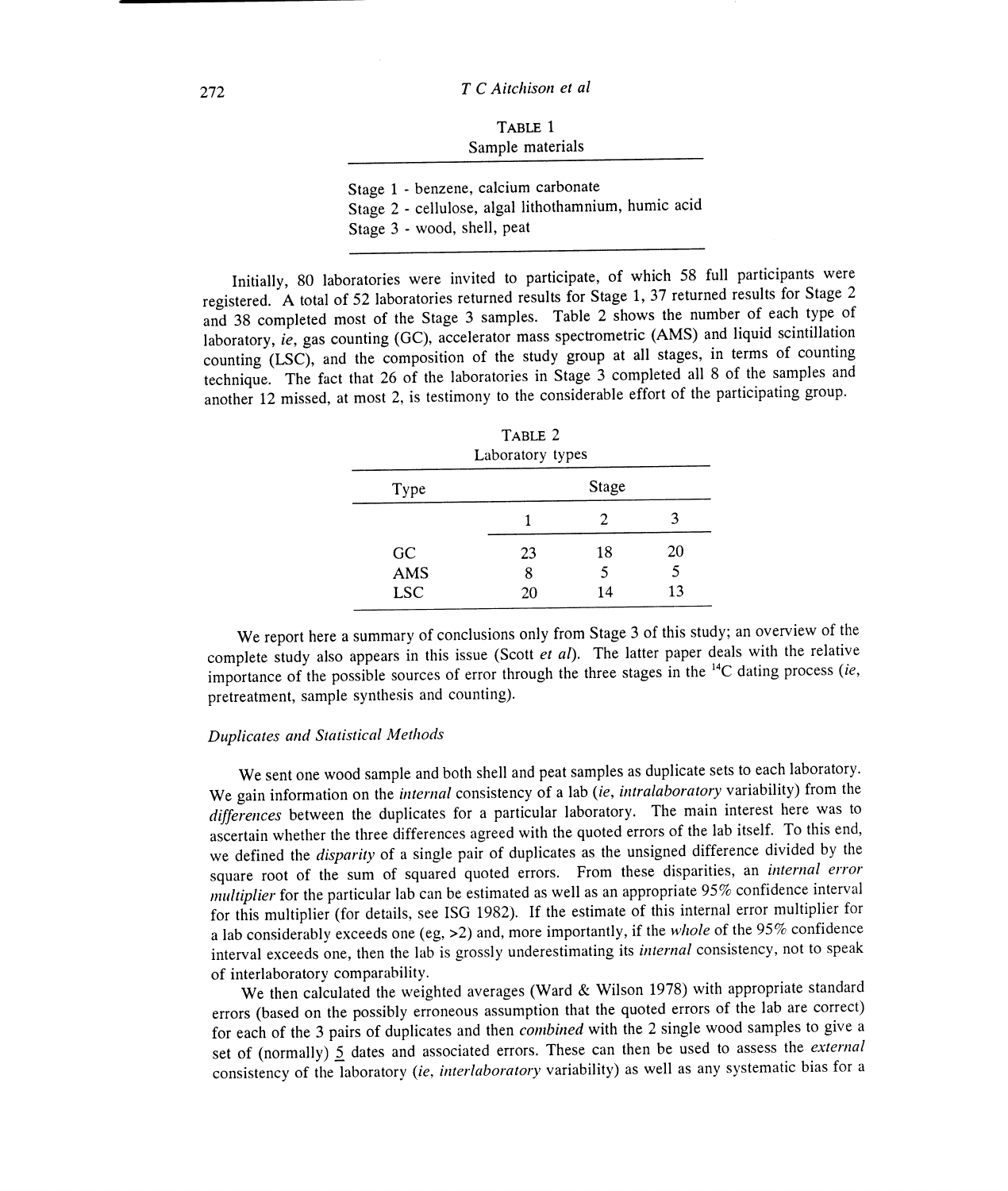| TABLE 1          |  |
|------------------|--|
| Sample materials |  |

Stage 1 - benzene, calcium carbonate

Stage 1 - benzene, calcium carbonate<br>Stage 2 - cellulose, algal lithothamnium, humic acid

Stage 3 - wood, shell, peat

Initially, 80 laboratories were invited to participate, of which 58 full participants were Stage 3 - wood, shell, peat<br>
Finitially, 80 laboratories were invited to participate, of which 58 full participants were<br>
registered. A total of 52 laboratories returned results for Stage 1, 37 returned results for Stage 2 and 38 completed most of the Stage 3 samples. Table 2 shows the number of each type of laboratory, ie, gas counting  $(GC)$ , accelerator mass spectrometric  $(AMS)$  and liquid scintillation counting  $(LSC)$ , and the composition of the study group at all stages, in terms of counting technique. The fact that 26 of the laboratories in Stage 3 completed all 8 of the samples and technique. The fact that 26 of the laboratories in Stage 3 completed all 8 of the samples and another 12 missed, at most 2, is testimony to the considerable effort of the participating group.

|            | TABLE 2<br>Laboratory types |       |    |
|------------|-----------------------------|-------|----|
| Type       |                             | Stage |    |
|            |                             | 2     |    |
| GC         | 23                          | 18    | 20 |
| AMS        | 8                           | 5     | 5  |
| <b>LSC</b> | 20                          | 14    | 13 |

We report here a summary of conclusions only from Stage 3 of this study; an overview of the complete study also appears in this issue (Scott *et al*). The latter paper deals with the relative importance of the possible sources of error through the three stages in the  $^{14}C$  dating process (ie, pretreatment, sample synthesis and counting).

## Duplicates and Statistical Methods

We sent one wood sample and both shell and peat samples as duplicate sets to each laboratory. We sent one wood sample and both shell and peat samples as duplicate sets to each laboratory.<br>We gain information on the *internal* consistency of a lab *(ie, intralaboratory* variability) from the differences between the duplicates for a particular laboratory. The main interest here was to ascertain whether the three differences agreed with the quoted errors of the lab itself. To this end, we defined the disparity of a single pair of duplicates as the unsigned difference divided by the square root of the sum of squared quoted errors. From these disparities, an *internal error* multiplier for the particular lab can be estimated as well as an appropriate 95% confidence interval for this multiplier (for details, see ISG 1982). If the estimate of this internal error multiplier for a lab considerably exceeds one (eg,  $>2$ ) and, more importantly, if the *whole* of the 95% confidence interval exceeds one, then the lab is grossly underestimating its *internal* consistency, not to speak of interlaboratory comparability. ascertain whether the three differences agreed with the quoted errors of the lab itself. To this end, we defined the *disparity* of a single pair of duplicates as the unsigned difference divided by the square root of the s

We then calculated the weighted averages (Ward & Wilson 1978) with appropriate standard errors (based on the possibly erroneous assumption that the quoted errors of the lab are correct) for each of the 3 pairs of duplicates and then combined with the 2 single wood samples to give <sup>a</sup>for each of the 3 pairs of duplicates and then *combined* with the 2 single wood samples to give a set of (normally)  $\leq$  dates and associated errors. These can then be used to assess the *external* consistency of the laboratory (ie, interlaboratory variability) as well as any systematic bias for a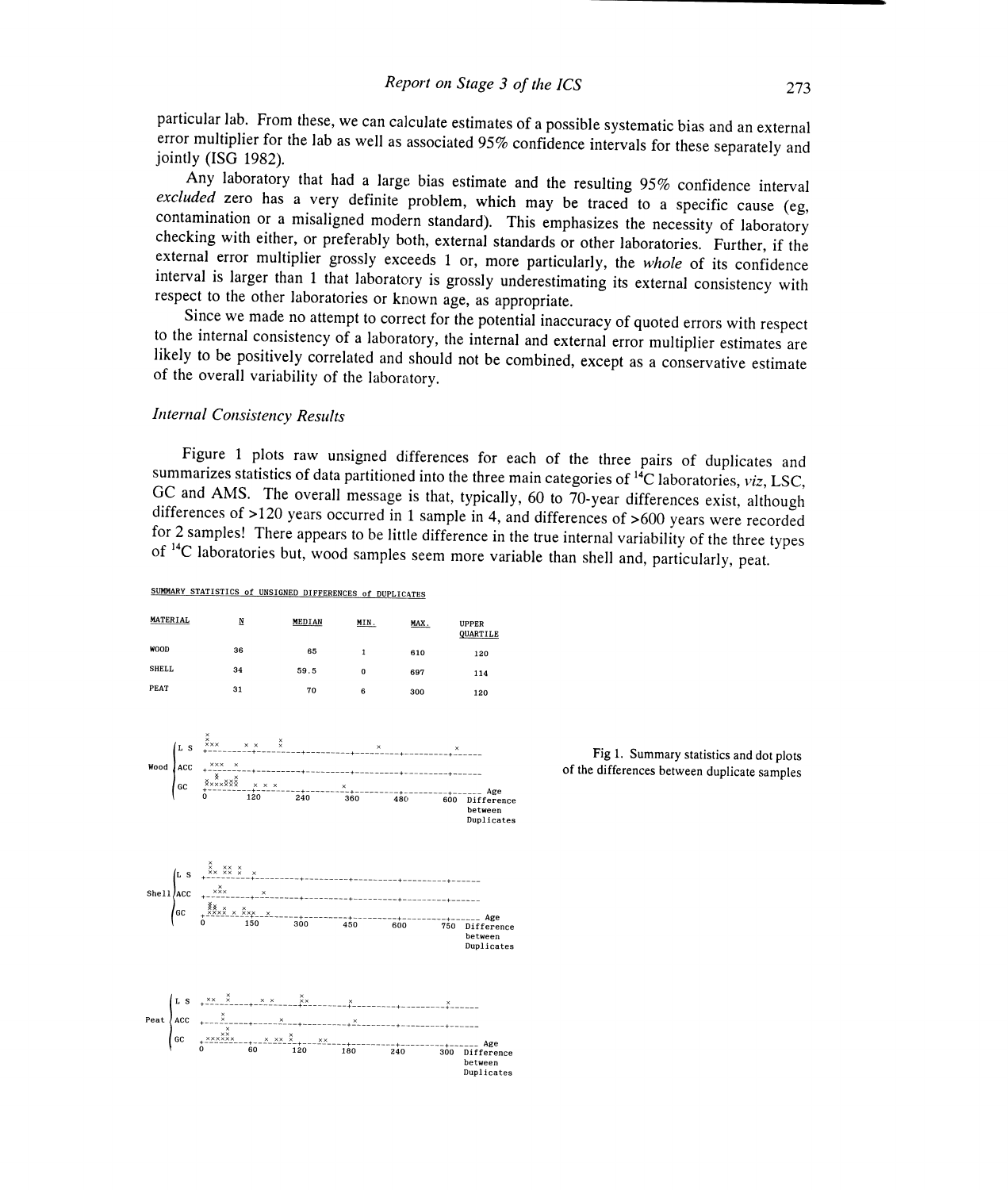particular lab. From these, we can calculate estimates of a possible systematic bias and an external particular lab. From these, we can calculate estimates of a possible systematic bias and an external<br>error multiplier for the lab as well as associated 95% confidence intervals for these separately and<br>jointly (ISG 1982).

Any laboratory that had a large bias estimate and the resulting 95% confidence interval excluded zero has a very definite problem, which may be traced to a specific cause (eg, contamination or a misaligned modern standard) interval is larger than 1 that laboratory is grossly underestimating its external consistency with respect to the other laboratories or known age, as appropriate.

Since we made no attempt to correct for the potential inaccuracy of quoted errors with respect to the internal consistency of a laboratory, the internal and external error multiplier estimates are to the internal consistency of a laboratory, the internal and external error multiplier estimates are likely to be positively correlated and should not be combined, except as a conservative estimate of the overall variabil respect to the other laboratories or known age, as appropriate.<br>
Since we made no attempt to correct for the potential inaccuracy of quoted errors with respect<br>
to the internal consistency of a laboratory, the internal and

## Internal Consistency Results

Figure 1 plots raw unsigned differences for each of the three pairs of duplicates and<br>summarizes statistics of data partitioned into the three main categories of <sup>14</sup>C laboratories, *viz*, LSC,<br>GC and AMS. The overall mes summarizes statistics of data partitioned into the three main categories of  $^{14}C$  laboratories, viz, LSC, differences of  $>120$  years occurred in 1 sample in 4, and differences of  $>600$  years were recorded of <sup>14</sup>C laboratories but, wood samples seem more variable than shell and, particularly, peat.

between Duplicates between Duplicates

#### SUMMARY STATISTICS of UNSIGNED DIFFERENCES of DUPLICATES

| MATERIAL     | N  | MEDIAN | MIN.     | MAX. | <b>UPPER</b><br>QUARTILE |
|--------------|----|--------|----------|------|--------------------------|
| WOOD         | 36 | 65     | 1        | 610  | 120                      |
| <b>SHELL</b> | 34 | 59.5   | $\bf{0}$ | 697  | 114                      |
| PEAT         | 31 | 70     | 6        | 300  | 120                      |





between Duplicates between Duplicates  $x = 1$   $x = 2$   $x = 3$   $x = 3$   $x = 3$   $x = 3$   $x = 3$   $x = 3$   $x = 3$   $x = 3$   $x = 3$   $x = 3$   $x = 3$   $x = 3$   $x = 3$   $x = 3$   $x = 3$   $x = 3$   $x = 3$   $x = 3$   $x = 3$   $x = 3$   $x = 3$   $x = 3$   $x = 3$   $x = 3$   $x = 3$   $x = 3$   $x = 3$   $x = 3$   $x = 3$   $x =$ 

<sup>x</sup>x xx x x x xx x x x x x x <sup>x</sup>xx <sup>x</sup>+---------+---------+---------+---------+-.-------- xxxxxx x xx x xx +------ Age <sup>0</sup>60 120 180 240 300 Difference between<br>Duplicates

Fig 1, Summary statistics and dot plots of the differences between duplicate samples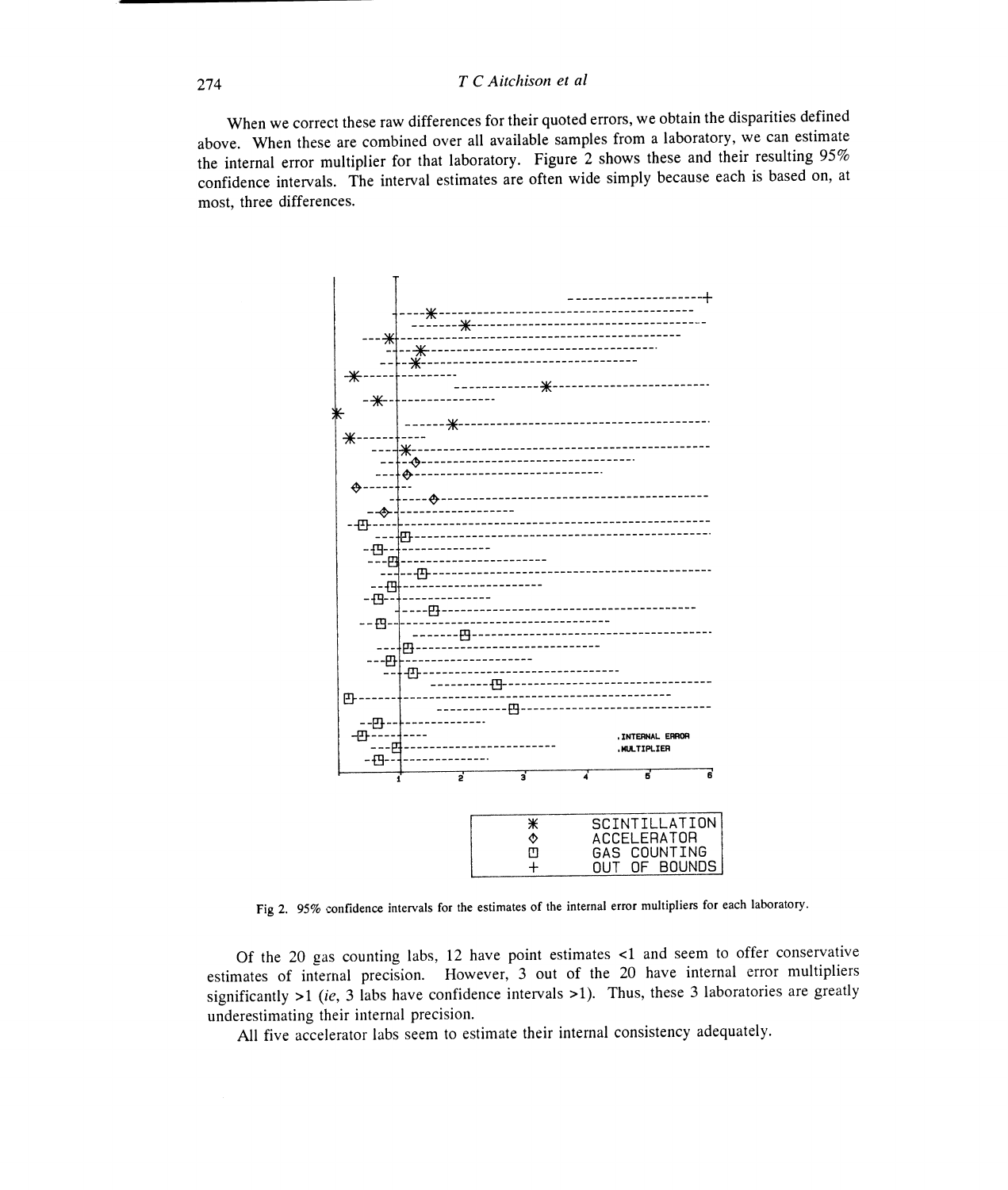## $T C$  Aitchison et al

When we correct these raw differences for their quoted errors, we obtain the disparities defined above. When these are combined over all available samples from a laboratory, we can estimate the internal error multiplier for that laboratory. Figure 2 shows these and their resulting 95% the internal error multiplier for that laboratory. Figure 2 shows these and their resulting  $95%$  confidence intervals. The interval estimates are often wide simply because each is based on, at most, three differences.



Fig 2. 95% confidence intervals for the estimates of the internal error multipliers for each laboratory.

Of the 20 gas counting labs, 12 have point estimates  $\leq 1$  and seem to offer conservative estimates of internal precision. However, 3 out of the 20 have internal error multipliers significantly  $>1$  (ie, 3 labs have confidence intervals  $>1$ ). Thus, these 3 laboratories are greatly underestimating their internal precision.

All five accelerator labs seem to estimate their internal consistency adequately. All five accelerator labs their internal consistency adequately.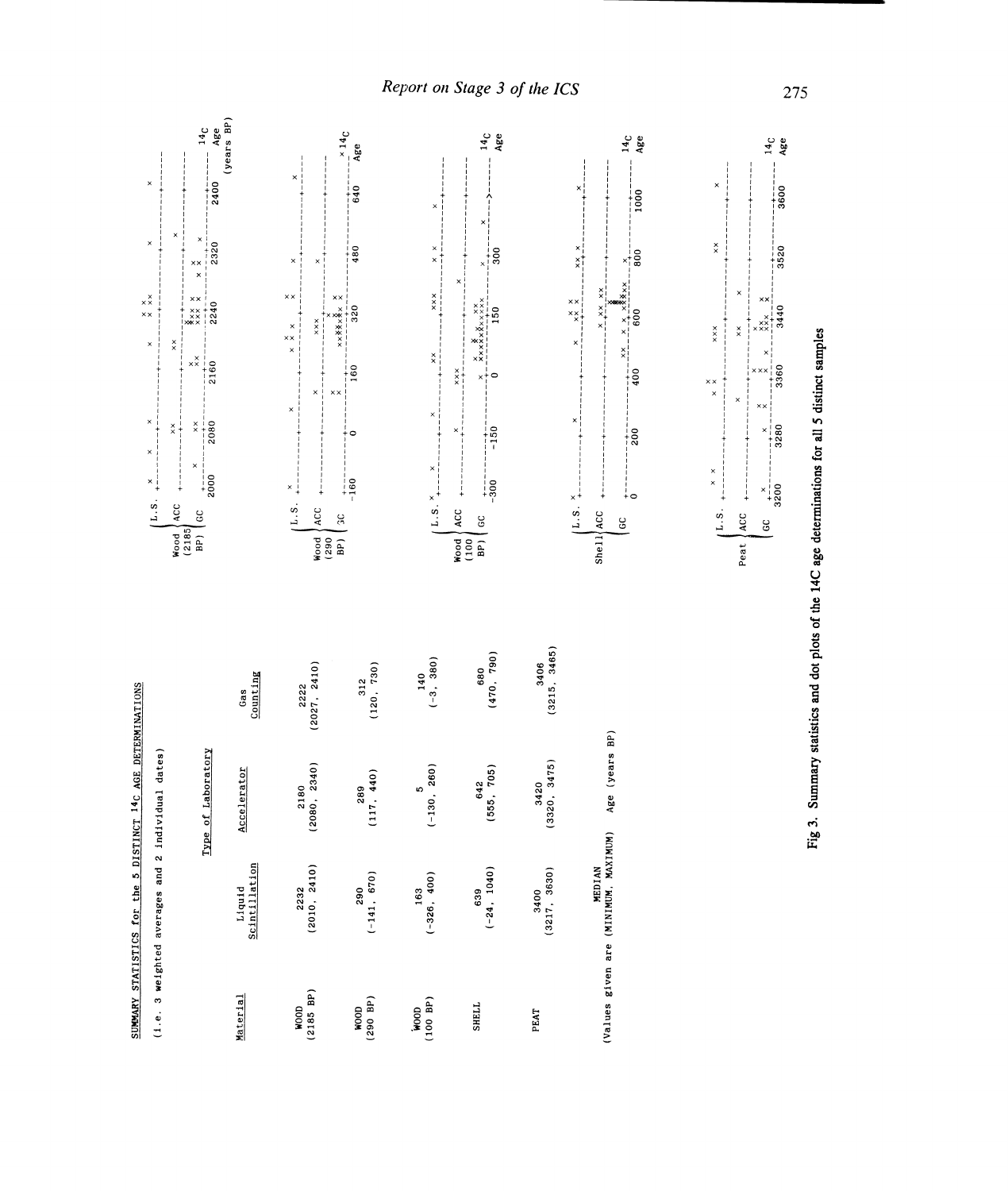Report on Stage 3 of the ICS



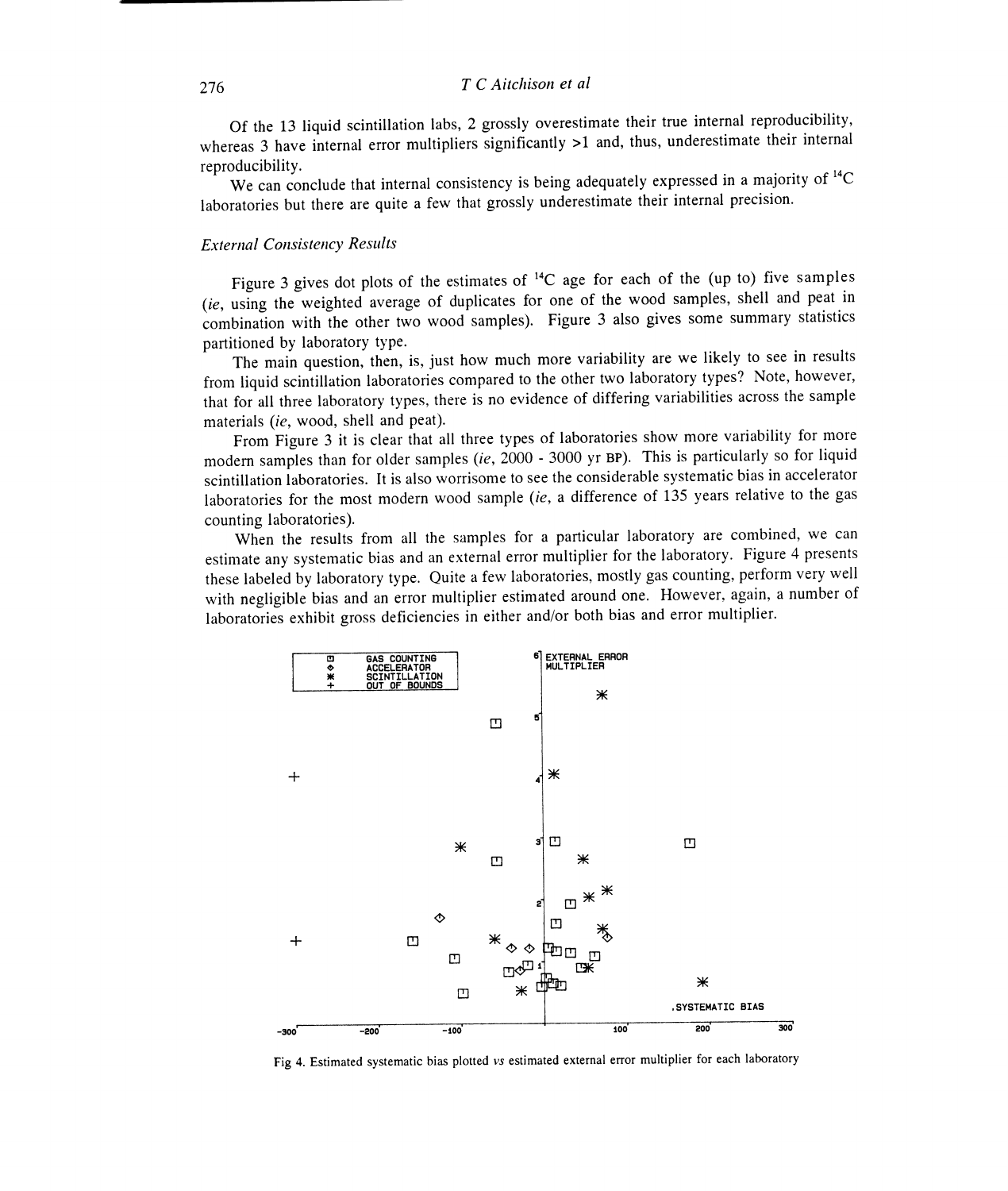Of the 13 liquid scintillation labs, 2 grossly overestimate their true internal reproducibility, whereas 3 have internal error multipliers significantly >1 and, thus, underestimate their internal reproducibility. reproducibility.

We can conclude that internal consistency is being adequately expressed in a majority of <sup>14</sup>C laboratories but there are quite a few that grossly underestimate their internal precision. We can conclude that internal consistency is being adequately expressed in a majority of  $\infty$  ratories but there are quite a few that grossly underestimate their internal precision.<br>
rnal Consistency Results<br>
Figure 3 gi

## External Consistency Results

(ie, using the weighted average of duplicates for one of the wood samples, shell and peat in (ie, using the weighted average of duplicates for one of the wood samples, shell and peat in combination with the other two wood samples). Figure 3 also gives some summary statistics partitioned by laboratory type.

The main question, then, is, just how much more variability are we likely to see in results from liquid scintillation laboratories compared to the other two laboratory types? Note, however, that for all three laboratory types, there is no evidence of differing variabilities across the sample materials (ie, wood, shell and peat). from liquid scintillation laboratories compared to the other two laboratory types? Note, that for all three laboratory types, there is no evidence of differing variabilities across there is no evidence of differing variabi

From Figure 3 it is clear that all three types of laboratories show more variability for more modern samples than for older samples (ie, 2000 - 3000 yr BP). This is particularly so for liquid scintillation laboratories. It is also worrisome to see the considerable systematic bias in accelerator laboratories for the most modern wood sample (ie, a difference of 135 years relative to the gas counting laboratories). From Figure 3 it is clear that all three types of laboratories show more variability for more modern samples than for older samples (ie, 2000 - 3000 yr BP). This is particularly so for liquid scintillation laboratories. It

When the results from all the samples for a particular laboratory are combined, we can estimate any systematic bias and an external error multiplier for the laboratory. Figure 4 presents these labeled by laboratory type. Quite a few laboratories, mostly gas counting, perform very well with negligible bias and an error multiplier estimated around one. However, again, a number of laboratories exhibit gross deficiencies in either and/or both bias and error multiplier.



Fig 4. Estimated systematic bias plotted vs estimated external error multiplier for each laboratory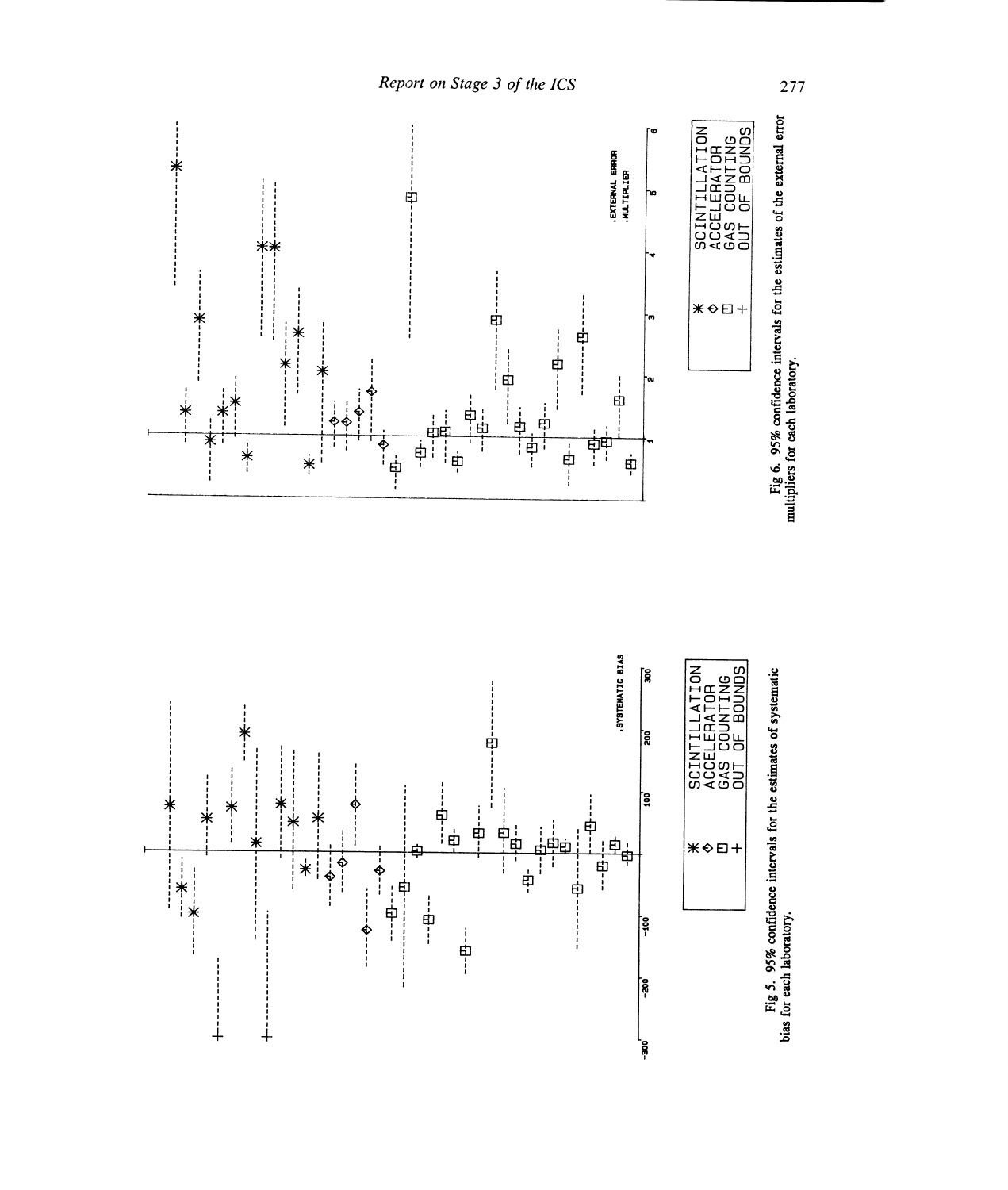

Report on Stage 3 of the ICS